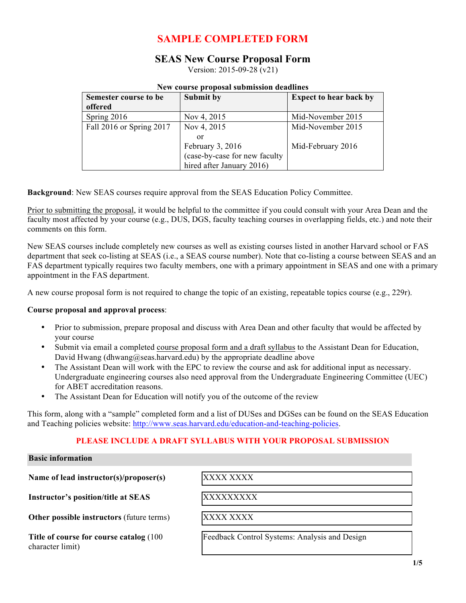## **SAMPLE COMPLETED FORM**

### **SEAS New Course Proposal Form**

Version: 2015-09-28 (v21)

#### **New course proposal submission deadlines**

| Semester course to be    | Submit by                     | <b>Expect to hear back by</b> |
|--------------------------|-------------------------------|-------------------------------|
| offered                  |                               |                               |
| Spring 2016              | Nov 4, 2015                   | Mid-November 2015             |
| Fall 2016 or Spring 2017 | Nov 4, 2015                   | Mid-November 2015             |
|                          | or                            |                               |
|                          | February 3, 2016              | Mid-February 2016             |
|                          | (case-by-case for new faculty |                               |
|                          | hired after January 2016)     |                               |

**Background**: New SEAS courses require approval from the SEAS Education Policy Committee.

Prior to submitting the proposal, it would be helpful to the committee if you could consult with your Area Dean and the faculty most affected by your course (e.g., DUS, DGS, faculty teaching courses in overlapping fields, etc.) and note their comments on this form.

New SEAS courses include completely new courses as well as existing courses listed in another Harvard school or FAS department that seek co-listing at SEAS (i.e., a SEAS course number). Note that co-listing a course between SEAS and an FAS department typically requires two faculty members, one with a primary appointment in SEAS and one with a primary appointment in the FAS department.

A new course proposal form is not required to change the topic of an existing, repeatable topics course (e.g., 229r).

#### **Course proposal and approval process**:

- Prior to submission, prepare proposal and discuss with Area Dean and other faculty that would be affected by your course
- Submit via email a completed course proposal form and a draft syllabus to the Assistant Dean for Education, David Hwang (dhwang  $@$ seas.harvard.edu) by the appropriate deadline above
- The Assistant Dean will work with the EPC to review the course and ask for additional input as necessary. Undergraduate engineering courses also need approval from the Undergraduate Engineering Committee (UEC) for ABET accreditation reasons.
- The Assistant Dean for Education will notify you of the outcome of the review

This form, along with a "sample" completed form and a list of DUSes and DGSes can be found on the SEAS Education and Teaching policies website: http://www.seas.harvard.edu/education-and-teaching-policies.

#### **PLEASE INCLUDE A DRAFT SYLLABUS WITH YOUR PROPOSAL SUBMISSION**

#### **Basic information**

**Name of lead instructor(s)/proposer(s)** XXXX XXXX

**Instructor's position/title at SEAS** XXXXXXXXXX

**Other possible instructors** (future terms) XXXX XXXX

**Title of course for course catalog** (100 character limit)

Feedback Control Systems: Analysis and Design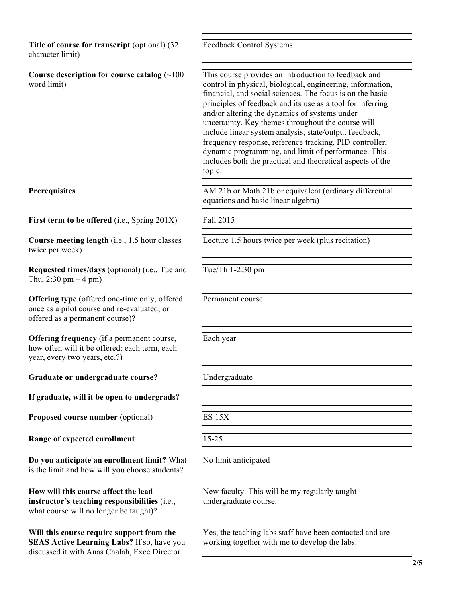**Title of course for transcript** (optional) (32 character limit) Feedback Control Systems **Course description for course catalog** (~100 word limit) This course provides an introduction to feedback and control in physical, biological, engineering, information, financial, and social sciences. The focus is on the basic principles of feedback and its use as a tool for inferring and/or altering the dynamics of systems under uncertainty. Key themes throughout the course will include linear system analysis, state/output feedback, frequency response, reference tracking, PID controller, dynamic programming, and limit of performance. This includes both the practical and theoretical aspects of the topic. **Prerequisites** AM 21b or Math 21b or equivalent (ordinary differential equations and basic linear algebra) **First term to be offered** (i.e., Spring 201X) Fall 2015 **Course meeting length** (i.e., 1.5 hour classes twice per week) Lecture 1.5 hours twice per week (plus recitation) **Requested times/days** (optional) (i.e., Tue and Thu,  $2:30 \text{ pm} - 4 \text{ pm}$ ) Tue/Th 1-2:30 pm **Offering type** (offered one-time only, offered once as a pilot course and re-evaluated, or offered as a permanent course)? Permanent course **Offering frequency** (if a permanent course, how often will it be offered: each term, each year, every two years, etc.?) Each year Graduate or undergraduate course? [Undergraduate **If graduate, will it be open to undergrads? Proposed course number** (optional) ES 15X **Range of expected enrollment** |15-25 **Do you anticipate an enrollment limit?** What is the limit and how will you choose students? No limit anticipated **How will this course affect the lead instructor's teaching responsibilities** (i.e., what course will no longer be taught)? New faculty. This will be my regularly taught undergraduate course. **Will this course require support from the SEAS Active Learning Labs?** If so, have you discussed it with Anas Chalah, Exec Director Yes, the teaching labs staff have been contacted and are working together with me to develop the labs.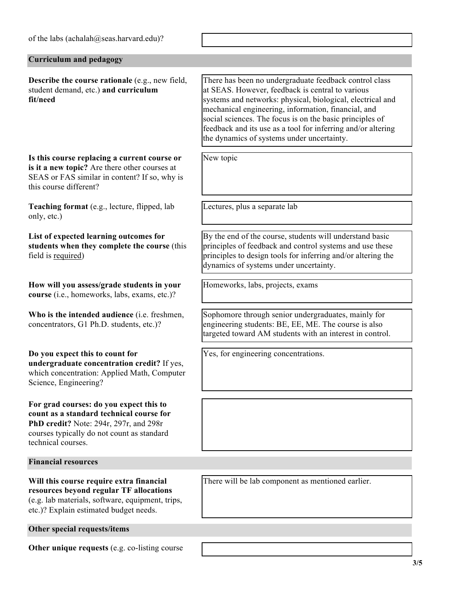| of the labs (achalah@seas.harvard.edu)?                                                                                                                                                           |                                                                                                                                                                                                                                                                                                                                                                                                           |  |  |
|---------------------------------------------------------------------------------------------------------------------------------------------------------------------------------------------------|-----------------------------------------------------------------------------------------------------------------------------------------------------------------------------------------------------------------------------------------------------------------------------------------------------------------------------------------------------------------------------------------------------------|--|--|
| <b>Curriculum and pedagogy</b>                                                                                                                                                                    |                                                                                                                                                                                                                                                                                                                                                                                                           |  |  |
| <b>Describe the course rationale (e.g., new field,</b><br>student demand, etc.) and curriculum<br>fit/need                                                                                        | There has been no undergraduate feedback control class<br>at SEAS. However, feedback is central to various<br>systems and networks: physical, biological, electrical and<br>mechanical engineering, information, financial, and<br>social sciences. The focus is on the basic principles of<br>feedback and its use as a tool for inferring and/or altering<br>the dynamics of systems under uncertainty. |  |  |
| Is this course replacing a current course or<br>is it a new topic? Are there other courses at<br>SEAS or FAS similar in content? If so, why is<br>this course different?                          | New topic                                                                                                                                                                                                                                                                                                                                                                                                 |  |  |
| Teaching format (e.g., lecture, flipped, lab<br>only, etc.)                                                                                                                                       | Lectures, plus a separate lab                                                                                                                                                                                                                                                                                                                                                                             |  |  |
| List of expected learning outcomes for<br>students when they complete the course (this<br>field is required)                                                                                      | By the end of the course, students will understand basic<br>principles of feedback and control systems and use these<br>principles to design tools for inferring and/or altering the<br>dynamics of systems under uncertainty.                                                                                                                                                                            |  |  |
| How will you assess/grade students in your<br>course (i.e., homeworks, labs, exams, etc.)?                                                                                                        | Homeworks, labs, projects, exams                                                                                                                                                                                                                                                                                                                                                                          |  |  |
| Who is the intended audience (i.e. freshmen,<br>concentrators, G1 Ph.D. students, etc.)?                                                                                                          | Sophomore through senior undergraduates, mainly for<br>engineering students: BE, EE, ME. The course is also<br>targeted toward AM students with an interest in control.                                                                                                                                                                                                                                   |  |  |
| Do you expect this to count for<br>undergraduate concentration credit? If yes,<br>which concentration: Applied Math, Computer<br>Science, Engineering?                                            | Yes, for engineering concentrations.                                                                                                                                                                                                                                                                                                                                                                      |  |  |
| For grad courses: do you expect this to<br>count as a standard technical course for<br>PhD credit? Note: 294r, 297r, and 298r<br>courses typically do not count as standard<br>technical courses. |                                                                                                                                                                                                                                                                                                                                                                                                           |  |  |
| <b>Financial resources</b>                                                                                                                                                                        |                                                                                                                                                                                                                                                                                                                                                                                                           |  |  |
| Will this course require extra financial<br>resources beyond regular TF allocations<br>(e.g. lab materials, software, equipment, trips,<br>etc.)? Explain estimated budget needs.                 | There will be lab component as mentioned earlier.                                                                                                                                                                                                                                                                                                                                                         |  |  |
| Other special requests/items                                                                                                                                                                      |                                                                                                                                                                                                                                                                                                                                                                                                           |  |  |
| Other unique requests (e.g. co-listing course                                                                                                                                                     |                                                                                                                                                                                                                                                                                                                                                                                                           |  |  |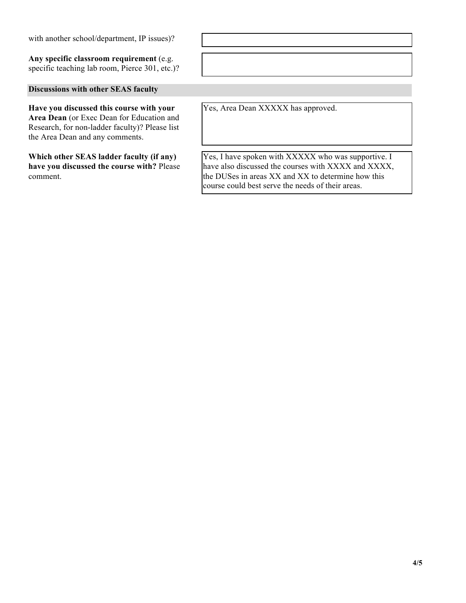with another school/department, IP issues)?

**Any specific classroom requirement** (e.g. specific teaching lab room, Pierce 301, etc.)?

**Discussions with other SEAS faculty**

**Have you discussed this course with your Area Dean** (or Exec Dean for Education and Research, for non-ladder faculty)? Please list the Area Dean and any comments.

**Which other SEAS ladder faculty (if any) have you discussed the course with?** Please comment.

Yes, Area Dean XXXXX has approved.

Yes, I have spoken with XXXXX who was supportive. I have also discussed the courses with XXXX and XXXX, the DUSes in areas XX and XX to determine how this course could best serve the needs of their areas.